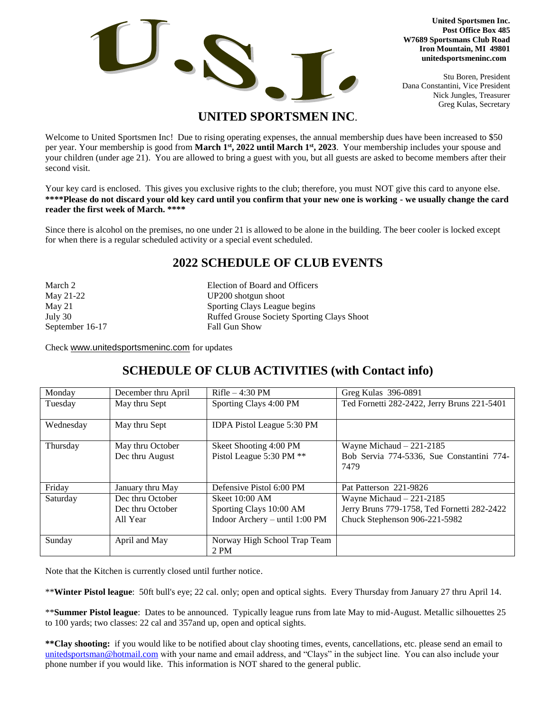

**United Sportsmen Inc. Post Office Box 485 W7689 Sportsmans Club Road Iron Mountain, MI 49801 unitedsportsmeninc.com**

Stu Boren, President Dana Constantini, Vice President Nick Jungles, Treasurer Greg Kulas, Secretary

## **UNITED SPORTSMEN INC**.

Welcome to United Sportsmen Inc! Due to rising operating expenses, the annual membership dues have been increased to \$50 per year. Your membership is good from **March 1st , 2022 until March 1st , 2023**. Your membership includes your spouse and your children (under age 21). You are allowed to bring a guest with you, but all guests are asked to become members after their second visit.

Your key card is enclosed. This gives you exclusive rights to the club; therefore, you must NOT give this card to anyone else. **\*\*\*\*Please do not discard your old key card until you confirm that your new one is working - we usually change the card reader the first week of March. \*\*\*\***

Since there is alcohol on the premises, no one under 21 is allowed to be alone in the building. The beer cooler is locked except for when there is a regular scheduled activity or a special event scheduled.

## **2022 SCHEDULE OF CLUB EVENTS**

| March 2         | Election of Board and Officers                    |  |
|-----------------|---------------------------------------------------|--|
| May 21-22       | UP200 shotgun shoot                               |  |
| May 21          | Sporting Clays League begins                      |  |
| July 30         | <b>Ruffed Grouse Society Sporting Clays Shoot</b> |  |
| September 16-17 | <b>Fall Gun Show</b>                              |  |
|                 |                                                   |  |

Check [www.unitedsportsmeninc.com](http://www.unitedsportsmeninc.com/) for updates

## **SCHEDULE OF CLUB ACTIVITIES (with Contact info)**

| Monday    | December thru April | $Rifle -4:30 PM$               | Greg Kulas 396-0891                         |
|-----------|---------------------|--------------------------------|---------------------------------------------|
| Tuesday   | May thru Sept       | Sporting Clays 4:00 PM         | Ted Fornetti 282-2422, Jerry Bruns 221-5401 |
|           |                     |                                |                                             |
| Wednesday | May thru Sept       | IDPA Pistol League 5:30 PM     |                                             |
|           |                     |                                |                                             |
| Thursday  | May thru October    | Skeet Shooting 4:00 PM         | Wayne Michaud $-221-2185$                   |
|           | Dec thru August     | Pistol League 5:30 PM **       | Bob Servia 774-5336, Sue Constantini 774-   |
|           |                     |                                | 7479                                        |
|           |                     |                                |                                             |
| Friday    | January thru May    | Defensive Pistol 6:00 PM       | Pat Patterson 221-9826                      |
| Saturday  | Dec thru October    | Skeet $10:00$ AM               | Wayne Michaud $-221-2185$                   |
|           | Dec thru October    | Sporting Clays 10:00 AM        | Jerry Bruns 779-1758, Ted Fornetti 282-2422 |
|           | All Year            | Indoor Archery - until 1:00 PM | Chuck Stephenson 906-221-5982               |
|           |                     |                                |                                             |
| Sunday    | April and May       | Norway High School Trap Team   |                                             |
|           |                     | 2 PM                           |                                             |

Note that the Kitchen is currently closed until further notice.

\*\***Winter Pistol league**: 50ft bull's eye; 22 cal. only; open and optical sights. Every Thursday from January 27 thru April 14.

\*\***Summer Pistol league**: Dates to be announced. Typically league runs from late May to mid-August. Metallic silhouettes 25 to 100 yards; two classes: 22 cal and 357and up, open and optical sights.

**\*\*Clay shooting:** if you would like to be notified about clay shooting times, events, cancellations, etc. please send an email to [unitedsportsman@hotmail.com](mailto:unitedsportsman@hotmail.com) with your name and email address, and "Clays" in the subject line. You can also include your phone number if you would like. This information is NOT shared to the general public.